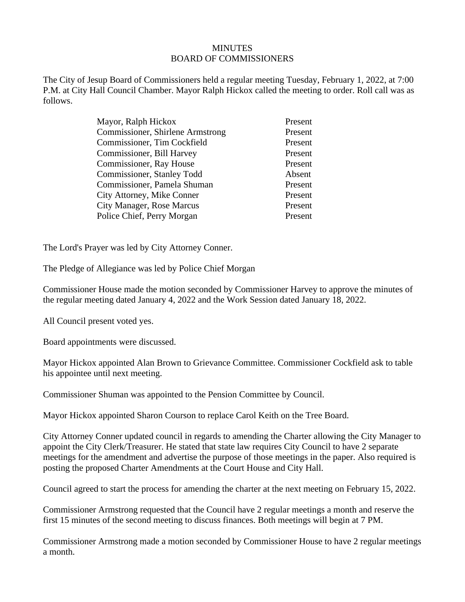## **MINUTES** BOARD OF COMMISSIONERS

The City of Jesup Board of Commissioners held a regular meeting Tuesday, February 1, 2022, at 7:00 P.M. at City Hall Council Chamber. Mayor Ralph Hickox called the meeting to order. Roll call was as follows.

| Mayor, Ralph Hickox                     | Present |
|-----------------------------------------|---------|
| <b>Commissioner, Shirlene Armstrong</b> | Present |
| Commissioner, Tim Cockfield             | Present |
| Commissioner, Bill Harvey               | Present |
| Commissioner, Ray House                 | Present |
| Commissioner, Stanley Todd              | Absent  |
| Commissioner, Pamela Shuman             | Present |
| City Attorney, Mike Conner              | Present |
| <b>City Manager, Rose Marcus</b>        | Present |
| Police Chief, Perry Morgan              | Present |

The Lord's Prayer was led by City Attorney Conner.

The Pledge of Allegiance was led by Police Chief Morgan

Commissioner House made the motion seconded by Commissioner Harvey to approve the minutes of the regular meeting dated January 4, 2022 and the Work Session dated January 18, 2022.

All Council present voted yes.

Board appointments were discussed.

Mayor Hickox appointed Alan Brown to Grievance Committee. Commissioner Cockfield ask to table his appointee until next meeting.

Commissioner Shuman was appointed to the Pension Committee by Council.

Mayor Hickox appointed Sharon Courson to replace Carol Keith on the Tree Board.

City Attorney Conner updated council in regards to amending the Charter allowing the City Manager to appoint the City Clerk/Treasurer. He stated that state law requires City Council to have 2 separate meetings for the amendment and advertise the purpose of those meetings in the paper. Also required is posting the proposed Charter Amendments at the Court House and City Hall.

Council agreed to start the process for amending the charter at the next meeting on February 15, 2022.

Commissioner Armstrong requested that the Council have 2 regular meetings a month and reserve the first 15 minutes of the second meeting to discuss finances. Both meetings will begin at 7 PM.

Commissioner Armstrong made a motion seconded by Commissioner House to have 2 regular meetings a month.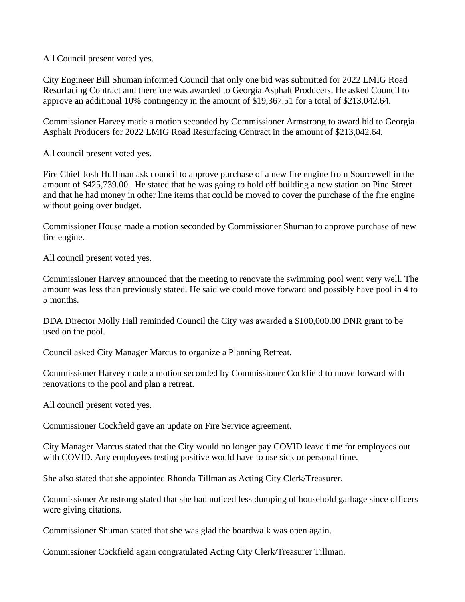All Council present voted yes.

City Engineer Bill Shuman informed Council that only one bid was submitted for 2022 LMIG Road Resurfacing Contract and therefore was awarded to Georgia Asphalt Producers. He asked Council to approve an additional 10% contingency in the amount of \$19,367.51 for a total of \$213,042.64.

Commissioner Harvey made a motion seconded by Commissioner Armstrong to award bid to Georgia Asphalt Producers for 2022 LMIG Road Resurfacing Contract in the amount of \$213,042.64.

All council present voted yes.

Fire Chief Josh Huffman ask council to approve purchase of a new fire engine from Sourcewell in the amount of \$425,739.00. He stated that he was going to hold off building a new station on Pine Street and that he had money in other line items that could be moved to cover the purchase of the fire engine without going over budget.

Commissioner House made a motion seconded by Commissioner Shuman to approve purchase of new fire engine.

All council present voted yes.

Commissioner Harvey announced that the meeting to renovate the swimming pool went very well. The amount was less than previously stated. He said we could move forward and possibly have pool in 4 to 5 months.

DDA Director Molly Hall reminded Council the City was awarded a \$100,000.00 DNR grant to be used on the pool.

Council asked City Manager Marcus to organize a Planning Retreat.

Commissioner Harvey made a motion seconded by Commissioner Cockfield to move forward with renovations to the pool and plan a retreat.

All council present voted yes.

Commissioner Cockfield gave an update on Fire Service agreement.

City Manager Marcus stated that the City would no longer pay COVID leave time for employees out with COVID. Any employees testing positive would have to use sick or personal time.

She also stated that she appointed Rhonda Tillman as Acting City Clerk/Treasurer.

Commissioner Armstrong stated that she had noticed less dumping of household garbage since officers were giving citations.

Commissioner Shuman stated that she was glad the boardwalk was open again.

Commissioner Cockfield again congratulated Acting City Clerk/Treasurer Tillman.